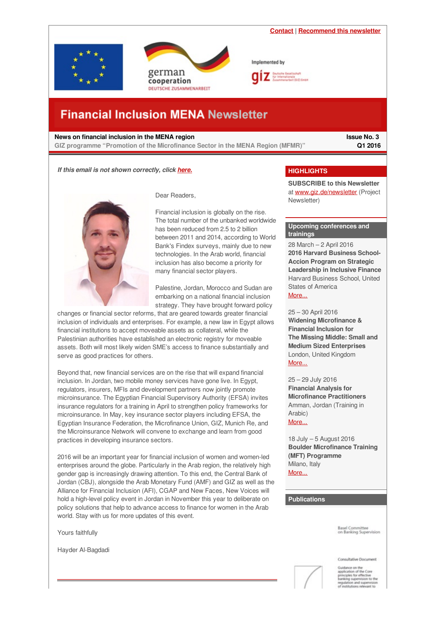

<span id="page-0-0"></span>



Implemented by

# **Financial Inclusion MENA Newsletter**

### **News on financial inclusion in the MENA region**

**GIZ programme "Promotion of the Microfinance Sector in the MENA Region (MFMR)"**

**Issue No. 3 Q1 2016**

*If this email is not shown correctly, click [here.](https://login.mailingwork.de/-link2/1593/2553/1/0/120623/sMLFGPjR/wSr8Zv84ph/0)*



Dear Readers,

Financial inclusion is globally on the rise. The total number of the unbanked worldwide has been reduced from 2.5 to 2 billion between 2011 and 2014, according to World Bank's Findex surveys, mainly due to new technologies. In the Arab world, financial inclusion has also become a priority for many financial sector players.

Palestine, Jordan, Morocco and Sudan are embarking on a national financial inclusion strategy. They have brought forward policy

changes or financial sector reforms, that are geared towards greater financial inclusion of individuals and enterprises. For example, a new law in Egypt allows financial institutions to accept moveable assets as collateral, while the Palestinian authorities have established an electronic registry for moveable assets. Both will most likely widen SME's access to finance substantially and serve as good practices for others.

Beyond that, new financial services are on the rise that will expand financial inclusion. In Jordan, two mobile money services have gone live. In Egypt, regulators, insurers, MFIs and development partners now jointly promote microinsurance. The Egyptian Financial Supervisory Authority (EFSA) invites insurance regulators for a training in April to strengthen policy frameworks for microinsurance. In May, key insurance sector players including EFSA, the Egyptian Insurance Federation, the Microfinance Union, GIZ, Munich Re, and the Microinsurance Network will convene to exchange and learn from good practices in developing insurance sectors.

2016 will be an important year for financial inclusion of women and women-led enterprises around the globe. Particularly in the Arab region, the relatively high gender gap is increasingly drawing attention. To this end, the Central Bank of Jordan (CBJ), alongside the Arab Monetary Fund (AMF) and GIZ as well as the Alliance for Financial Inclusion (AFI), CGAP and New Faces, New Voices will hold a high-level policy event in Jordan in November this year to deliberate on policy solutions that help to advance access to finance for women in the Arab world. Stay with us for more updates of this event.

Yours faithfully

Hayder Al-Bagdadi

### **HIGHLIGHTS**

**SUBSCRIBE to this Newsletter** at [www.giz.de/newsletter](http://www.giz.de/en/mediacenter/117.html) (Project Newsletter)

### **Upcoming conferences and trainings**

28 March – 2 April 2016 **2016 Harvard Business School-Accion Program on Strategic Leadership in Inclusive Finance** Harvard Business School, United States of America [More...](http://www.centerforfinancialinclusion.org/collaborators-a-sponsors/harvard-business-school-accion)

25 – 30 April 2016

**Widening Microfinance & Financial Inclusion for The Missing Middle: Small and Medium Sized Enterprises** London, United Kingdom [More...](http://www.microfinancegateway.org/sites/default/files/event_files/widening_microfinance_financial_inclusion_0.pdf)

25 – 29 July 2016 **Financial Analysis for Microfinance Practitioners** Amman, Jordan (Training in Arabic) [More...](http://www.microfinancegateway.org/sites/default/files/event_files/cmpma_2.pdf)

18 July – 5 August 2016 **Boulder Microfinance Training (MFT) Programme** Milano, Italy [More...](https://www.bouldermicrofinance.org/boulder/EN/MFT_EN)

**Publications**

asel Committee<br>n Banking Supervision

Consultative Document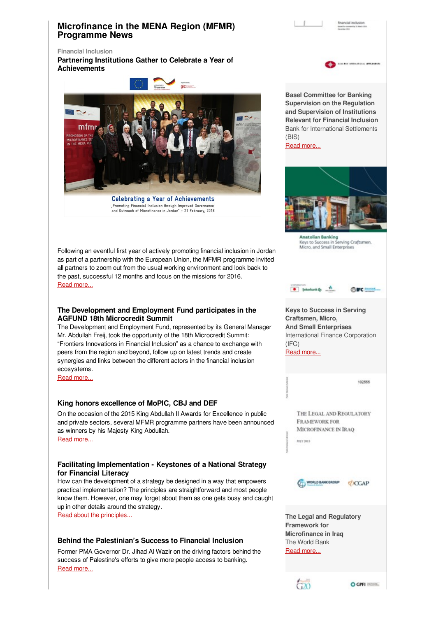# **Microfinance in the MENA Region (MFMR) Programme News**

 $\mathbb{R}$ 



**Financial Inclusion**

**Partnering Institutions Gather to Celebrate a Year of Achievements**



**Celebrating a Year of Achievements** Promoting Financial Inclusion through Improved Governance<br>and Outreach of Microfinance in Jordan" - 21 February, 2016

Following an eventful first year of actively promoting financial inclusion in Jordan as part of a partnership with the European Union, the MFMR programme invited all partners to zoom out from the usual working environment and look back to the past, successful 12 months and focus on the missions for 2016. Read [more...](http://microfinance-mena.org/?page=Pages_Activities&id=2)

# **The Development and Employment Fund participates in the AGFUND 18th Microcredit Summit**

The Development and Employment Fund, represented by its General Manager Mr. Abdullah Freij, took the opportunity of the 18th Microcredit Summit: "Frontiers Innovations in Financial Inclusion" as a chance to exchange with peers from the region and beyond, follow up on latest trends and create synergies and links between the different actors in the financial inclusion ecosystems.

Read [more...](http://microfinance-mena.org/?page=Pages_Activities&id=2)

# **King honors excellence of MoPIC, CBJ and DEF**

On the occasion of the 2015 King Abdullah II Awards for Excellence in public and private sectors, several MFMR programme partners have been announced as winners by his Majesty King Abdullah.

Read [more...](http://microfinance-mena.org/?page=Pages_Activities&id=2)

# **Facilitating Implementation - Keystones of a National Strategy for Financial Literacy**

How can the development of a strategy be designed in a way that empowers practical implementation? The principles are straightforward and most people know them. However, one may forget about them as one gets busy and caught up in other details around the strategy.

Read about the [principles...](http://microfinance-mena.org/?page=Pages_Activities&id=1)

# **Behind the Palestinian's Success to Financial Inclusion**

Former PMA Governor Dr. Jihad Al Wazir on the driving factors behind the success of Palestine's efforts to give more people access to banking. Read [more...](http://microfinance-mena.org/?page=Pages_Activities&id=3)

**Basel Committee for Banking Supervision on the Regulation and Supervision of Institutions Relevant for Financial Inclusion** Bank for International Settlements (BIS) Read [more...](http://www.bis.org/bcbs/publ/d351.pdf)

**Anatolian Banking** Keys to Success in Serving Co<br>Micro, and Small Enterprises erving Craftsmen



**Keys to Success in Serving Craftsmen, Micro, And Small Enterprises** International Finance Corporation  $(IFC)$ Read [more...](https://www.responsiblefinanceforum.org/wp-content/uploads/Anatolian-report-final_high.pdf)

102555

THE LEGAL AND REGULATORY **FRAMEWORK FOR** MICROFINANCE IN IRAQ

 $n + m +$ 



**The Legal and Regulatory Framework for Microfinance in Iraq** The World Bank Read [more...](http://documents.worldbank.org/curated/en/2015/07/25751290/legal-regulatory-framework-microfinance-iraq)



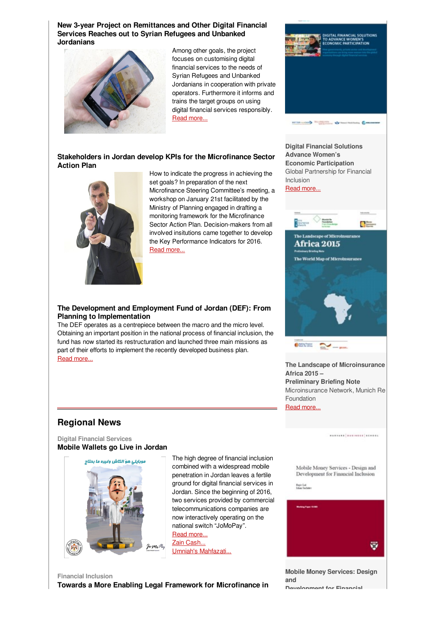**New 3-year Project on Remittances and Other Digital Financial Services Reaches out to Syrian Refugees and Unbanked Jordanians**



Among other goals, the project focuses on customising digital financial services to the needs of Syrian Refugees and Unbanked Jordanians in cooperation with private operators. Furthermore it informs and trains the target groups on using digital financial services responsibly. Read [more...](http://microfinance-mena.org/?page=Pages_Activities&id=2)

# **Stakeholders in Jordan develop KPIs for the Microfinance Sector Action Plan**



How to indicate the progress in achieving the set goals? In preparation of the next Microfinance Steering Committee's meeting, a workshop on January 21st facilitated by the Ministry of Planning engaged in drafting a monitoring framework for the Microfinance Sector Action Plan. Decision-makers from all involved insitutions came together to develop the Key Performance Indicators for 2016. Read [more...](http://microfinance-mena.org/?page=Pages_Activities&id=2)

# **The Development and Employment Fund of Jordan (DEF): From Planning to Implementation**

The DEF operates as a centrepiece between the macro and the micro level. Obtaining an important position in the national process of financial inclusion, the fund has now started its restructuration and launched three main missions as part of their efforts to implement the recently developed business plan. Read [more...](http://microfinance-mena.org/?page=Pages_Activities&id=2)



**Digital Financial Solutions Advance Women's Economic Participation** Global Partnership for Financial Inclusion Read [more...](http://www.uncdf.org/en/report-digital-financial-solutions-advance-women%E2%80%99s-economic-participation)



 $\bigcirc$  data below to  $\sim$   $-$ 

**The Landscape of Microinsurance Africa 2015 – Preliminary Briefing Note** Microinsurance Network, Munich Re Foundation Read [more...](http://www.microinsurancenetwork.org/sites/default/files/MIN-Africa Brief EN_A4.pdf)

# **Regional News**

**Digital Financial Services Mobile Wallets go Live in Jordan**



The high degree of financial inclusion combined with a widespread mobile penetration in Jordan leaves a fertile ground for digital financial services in Jordan. Since the beginning of 2016, two services provided by commercial telecommunications companies are now interactively operating on the national switch "JoMoPay". Read [more...](http://www.jordantimes.com/news/local/mobile-wallet-bring-financial-services-unbanked-%E2%80%94-cbj) Zain [Cash...](http://www.jo.zain.com/english/media/pr/Pages/Zain-Cash-Expands-its-Services-in-the-e-Payments-Domain.aspx)

Umniah's [Mahfazati...](http://www.umniah.com/en/personal/plan-details/643/default.aspx)

Mobile Money Services - Design and Development for Financial Inclusion

.......................

Rajir Lat.<br>Man Sudan



**Mobile Money Services: Design and Development for Financial**

**Financial Inclusion Towards a More Enabling Legal Framework for Microfinance in**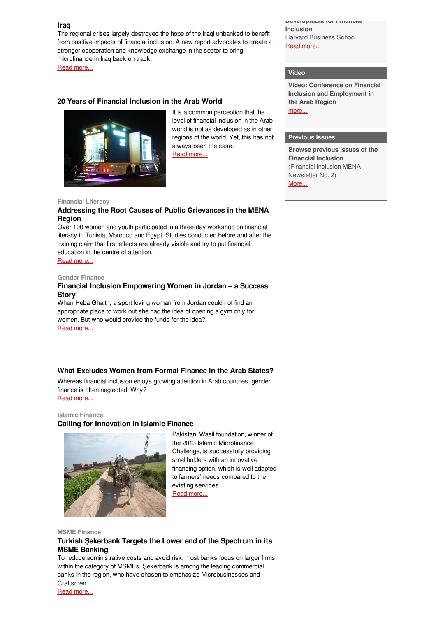### **Iraq**

The regional crises largely destroyed the hope of the Iraqi unbanked to benefit from positive impacts of financial inclusion. A new report advocates to create a stronger cooperation and knowledge exchange in the sector to bring microfinance in Iraq back on track.

**Towards a More Enabling Legal Framework for Microfinance in**

Read [more...](http://www.cgap.org/blog/towards-more-enabling-legal-framework-microfinance-iraq?utm_source=blog+newsletter+1%2F28%2F16&utm_campaign=blog_newsletter_012816&utm_medium=email)

# **20 Years of Financial Inclusion in the Arab World**



It is a common perception that the level of financial inclusion in the Arab world is not as developed as in other regions of the world. Yet, this has not always been the case. Read [more...](http://www.cgap.org/blog/20-years-financial-inclusion-arab-world)

**Development for Financial Inclusion** Harvard Business School Read [more...](http://www.hbs.edu/faculty/Publication Files/15-083_e7db671b-12b2-47e7-9692-31808ee92bf1.pdf)

### **Video**

**Video: Conference on Financial Inclusion and Employment in the Arab Region** [more...](https://youtu.be/7JKZTjkEnjg)

#### **Previous Issues**

**Browse previous issues of the Financial Inclusion** (Financial Inclusion MENA Newsletter No. 2) [More...](http://microfinance-mena.org/ckfinder/userfiles/files/MFMR NL 02.pdf)

#### **Financial Literacy**

# **Addressing the Root Causes of Public Grievances in the MENA Region**

Over 100 women and youth participated in a three-day workshop on financial literacy in Tunisia, Morocco and Egypt. Studies conducted before and after the training claim that first effects are already visible and try to put financial education in the centre of attention.

Read [more...](http://www.worldbank.org/en/region/mena/brief/addressing-roots-causes-of-public-grievances-in-mena?)

#### **Gender Finance**

# **Financial Inclusion Empowering Women in Jordan – a Success Story**

When Heba Ghaith, a sport loving woman from Jordan could not find an appropriate place to work out she had the idea of opening a gym only for women. But who would provide the funds for the idea? Read [more...](http://www.jordantimes.com/news/local/microfinance-helps-entrepreneur-bring-fitness-maans-women)

# **What Excludes Women from Formal Finance in the Arab States?**

Whereas financial inclusion enjoys growing attention in Arab countries, gender finance is often neglected. Why? Read [more...](http://www.cgap.org/blog/what-excludes-women-formal-finance-arab-states?utm_source=blog+newsletter+1%2F14%2F16&utm_campaign=blog_newsletter_011416&utm_medium=email)

## **Islamic Finance**

### **Calling for Innovation in Islamic Finance**



Pakistani Wasil foundation, winner of the 2013 Islamic Microfinance Challenge, is successfully providing smallholders with an innovative financing option, which is well adapted to farmers' needs compared to the existing services. Read [more...](http://www.cgap.org/blog/salam-both-greeting-innovative-agricultural-financing-option)

**MSME Finance**

## **Turkish Şekerbank Targets the Lower end of the Spectrum in its MSME Banking**

To reduce administrative costs and avoid risk, most banks focus on larger firms within the category of MSMEs. Şekerbank is among the leading commercial banks in the region, who have chosen to emphasize Microbusinesses and Craftsmen.

Read [more...](http://www.smefinanceforum.org/post/anatolian-banking-keys-to-success-in-serving-craftsmen-micro-and-small-enterprises)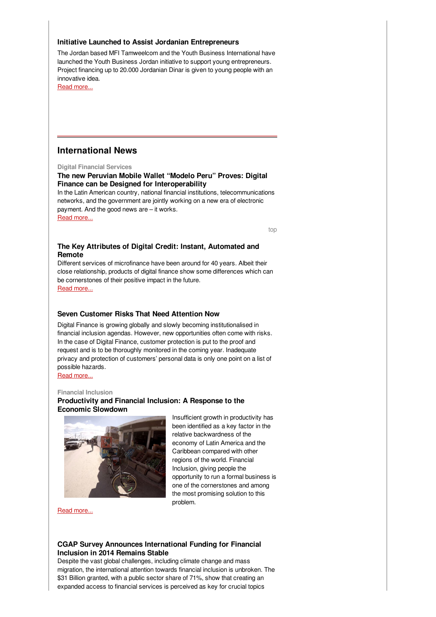#### **Initiative Launched to Assist Jordanian Entrepreneurs**

The Jordan based MFI Tamweelcom and the Youth Business International have launched the Youth Business Jordan initiative to support young entrepreneurs. Project financing up to 20.000 Jordanian Dinar is given to young people with an innovative idea.

Read [more...](http://www.jordantimes.com/news/local/initiative-launched-assist-jordanian-entrepreneurs)

# **International News**

#### **Digital Financial Services**

# **The new Peruvian Mobile Wallet "Modelo Peru" Proves: Digital Finance can be Designed for Interoperability**

In the Latin American country, national financial institutions, telecommunications networks, and the government are jointly working on a new era of electronic payment. And the good news are – it works. Read [more...](http://blogs.afi-global.org/2016/02/17/first-peruvian-mobile-wallet-demonstrates-interoperability-is-possible-worldwide/)

[top](#page-0-0)

# **The Key Attributes of Digital Credit: Instant, Automated and Remote**

Different services of microfinance have been around for 40 years. Albeit their close relationship, products of digital finance show some differences which can be cornerstones of their positive impact in the future. Read [more...](http://www.cgap.org/blog/instant-automated-remote-key-attributes-digital-credit#.VsOSxB6tTT8.mailto)

### **Seven Customer Risks That Need Attention Now**

Digital Finance is growing globally and slowly becoming institutionalised in financial inclusion agendas. However, new opportunities often come with risks. In the case of Digital Finance, customer protection is put to the proof and request and is to be thoroughly monitored in the coming year. Inadequate privacy and protection of customers' personal data is only one point on a list of possible hazards.

Read [more...](http://www.cgap.org/blog/seven-customer-risks-need-attention-now)

#### **Financial Inclusion**

### **Productivity and Financial Inclusion: A Response to the Economic Slowdown**



Insufficient growth in productivity has been identified as a key factor in the relative backwardness of the economy of Latin America and the Caribbean compared with other regions of the world. Financial Inclusion, giving people the opportunity to run a formal business is one of the cornerstones and among the most promising solution to this problem.

Read [more...](http://www.huffingtonpost.com/fomin/productivity-and-financia_b_9169018.html)

## **CGAP Survey Announces International Funding for Financial Inclusion in 2014 Remains Stable**

Despite the vast global challenges, including climate change and mass migration, the international attention towards financial inclusion is unbroken. The \$31 Billion granted, with a public sector share of 71%, show that creating an expanded access to financial services is perceived as key for crucial topics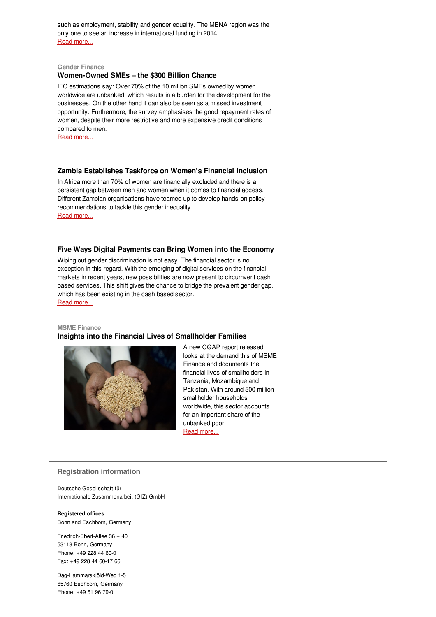such as employment, stability and gender equality. The MENA region was the only one to see an increase in international funding in 2014. Read [more...](http://www.cgap.org/news/2014-saw-31-billion-international-funding-financial-inclusion)

#### **Gender Finance**

### **Women-Owned SMEs – the \$300 Billion Chance**

IFC estimations say: Over 70% of the 10 million SMEs owned by women worldwide are unbanked, which results in a burden for the development for the businesses. On the other hand it can also be seen as a missed investment opportunity. Furthermore, the survey emphasises the good repayment rates of women, despite their more restrictive and more expensive credit conditions compared to men.

Read [more...](https://www.womensworldbanking.org/news/blog/the-numbers-dont-lie-the-300-billion-business-case-for-banking-women-owned-smes/)

### **Zambia Establishes Taskforce on Women's Financial Inclusion**

In Africa more than 70% of women are financially excluded and there is a persistent gap between men and women when it comes to financial access. Different Zambian organisations have teamed up to develop hands-on policy recommendations to tackle this gender inequality. Read [more...](http://www.cgap.org/blog/policy-practice-zambia-advances-women%E2%80%99s-financial-inclusion?utm_source=blog+newsletter+2%2F18%2F16&utm_campaign=blog_newsletter_021816&utm_medium=email)

### **Five Ways Digital Payments can Bring Women into the Economy**

Wiping out gender discrimination is not easy. The financial sector is no exception in this regard. With the emerging of digital services on the financial markets in recent years, new possibilities are now present to circumvent cash based services. This shift gives the chance to bridge the prevalent gender gap, which has been existing in the cash based sector. Read [more...](http://www.cgap.org/blog/5-ways-digital-payments-can-bring-women-economy?utm_source=blog+newsletter+1%2F21%2F16&utm_campaign=blog_newsletter_012116&utm_medium=email)

#### **MSME Finance Insights into the Financial Lives of Smallholder Families**



A new CGAP report released looks at the demand this of MSME Finance and documents the financial lives of smallholders in Tanzania, Mozambique and Pakistan. With around 500 million smallholder households worldwide, this sector accounts for an important share of the unbanked poor. Read [more...](http://www.cgap.org/news/new-cgap-report-smallholder-diaries)

### **Registration information**

**D**eutsche Gesellschaft für Internationale Zusammenarbeit (GIZ) GmbH

#### **Registered offices** Bonn and Eschborn, Germany

Friedrich-Ebert-Allee 36 + 40 53113 Bonn, Germany Phone: +49 228 44 60-0 Fax: +49 228 44 60-17 66

Dag-Hammarskjöld-Weg 1-5 65760 Eschborn, Germany Phone: +49 61 96 79-0